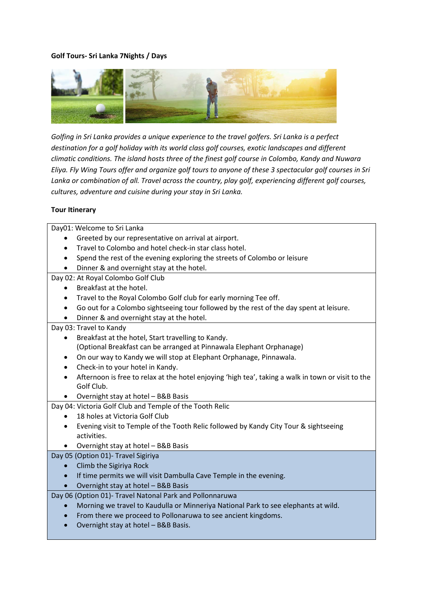# **Golf Tours- Sri Lanka 7Nights / Days**



*Golfing in Sri Lanka provides a unique experience to the travel golfers. Sri Lanka is a perfect destination for a golf holiday with its world class golf courses, exotic landscapes and different climatic conditions. The island hosts three of the finest golf course in Colombo, Kandy and Nuwara Eliya. Fly Wing Tours offer and organize golf tours to anyone of these 3 spectacular golf courses in Sri Lanka or combination of all. Travel across the country, play golf, experiencing different golf courses, cultures, adventure and cuisine during your stay in Sri Lanka.*

#### **Tour Itinerary**

Day01: Welcome to Sri Lanka

- Greeted by our representative on arrival at airport.
- Travel to Colombo and hotel check-in star class hotel.
- Spend the rest of the evening exploring the streets of Colombo or leisure
- Dinner & and overnight stay at the hotel.

Day 02: At Royal Colombo Golf Club

- Breakfast at the hotel.
- Travel to the Royal Colombo Golf club for early morning Tee off.
- Go out for a Colombo sightseeing tour followed by the rest of the day spent at leisure.
- Dinner & and overnight stay at the hotel.

### Day 03: Travel to Kandy

- Breakfast at the hotel, Start travelling to Kandy. (Optional Breakfast can be arranged at Pinnawala Elephant Orphanage)
- On our way to Kandy we will stop at Elephant Orphanage, Pinnawala.
- Check-in to your hotel in Kandy.
- Afternoon is free to relax at the hotel enjoying 'high tea', taking a walk in town or visit to the Golf Club.
- Overnight stay at hotel B&B Basis

Day 04: Victoria Golf Club and Temple of the Tooth Relic

- 18 holes at Victoria Golf Club
- Evening visit to Temple of the Tooth Relic followed by Kandy City Tour & sightseeing activities.
- Overnight stay at hotel B&B Basis

### Day 05 (Option 01)- Travel Sigiriya

- Climb the Sigiriya Rock
- If time permits we will visit Dambulla Cave Temple in the evening.
- Overnight stay at hotel B&B Basis

Day 06 (Option 01)- Travel Natonal Park and Pollonnaruwa

- Morning we travel to Kaudulla or Minneriya National Park to see elephants at wild.
- From there we proceed to Pollonaruwa to see ancient kingdoms.
- Overnight stay at hotel B&B Basis.